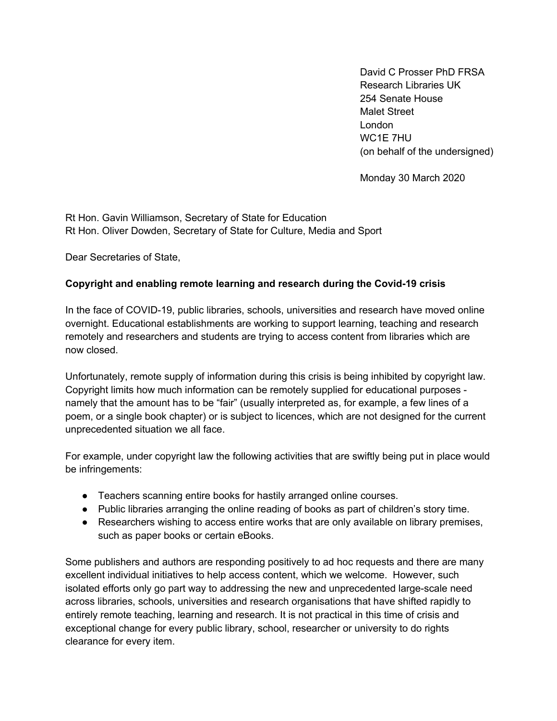David C Prosser PhD FRSA Research Libraries UK 254 Senate House Malet Street London WC<sub>1</sub>F 7HU (on behalf of the undersigned)

Monday 30 March 2020

Rt Hon. Gavin Williamson, Secretary of State for Education Rt Hon. Oliver Dowden, Secretary of State for Culture, Media and Sport

Dear Secretaries of State,

## **Copyright and enabling remote learning and research during the Covid-19 crisis**

In the face of COVID-19, public libraries, schools, universities and research have moved online overnight. Educational establishments are working to support learning, teaching and research remotely and researchers and students are trying to access content from libraries which are now closed.

Unfortunately, remote supply of information during this crisis is being inhibited by copyright law. Copyright limits how much information can be remotely supplied for educational purposes namely that the amount has to be "fair" (usually interpreted as, for example, a few lines of a poem, or a single book chapter) or is subject to licences, which are not designed for the current unprecedented situation we all face.

For example, under copyright law the following activities that are swiftly being put in place would be infringements:

- Teachers scanning entire books for hastily arranged online courses.
- Public libraries arranging the online reading of books as part of children's story time.
- Researchers wishing to access entire works that are only available on library premises, such as paper books or certain eBooks.

Some publishers and authors are responding positively to ad hoc requests and there are many excellent individual initiatives to help access content, which we welcome. However, such isolated efforts only go part way to addressing the new and unprecedented large-scale need across libraries, schools, universities and research organisations that have shifted rapidly to entirely remote teaching, learning and research. It is not practical in this time of crisis and exceptional change for every public library, school, researcher or university to do rights clearance for every item.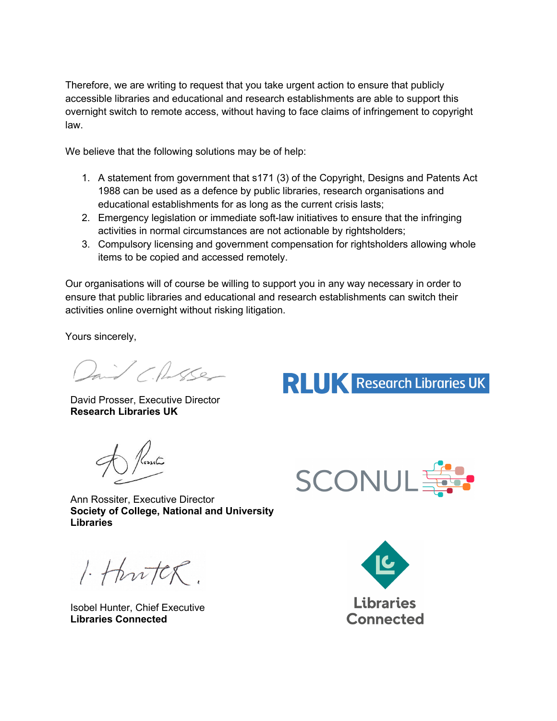Therefore, we are writing to request that you take urgent action to ensure that publicly accessible libraries and educational and research establishments are able to support this overnight switch to remote access, without having to face claims of infringement to copyright law.

We believe that the following solutions may be of help:

- 1. A statement from government that s171 (3) of the Copyright, Designs and Patents Act 1988 can be used as a defence by public libraries, research organisations and educational establishments for as long as the current crisis lasts;
- 2. Emergency legislation or immediate soft-law initiatives to ensure that the infringing activities in normal circumstances are not actionable by rightsholders;
- 3. Compulsory licensing and government compensation for rightsholders allowing whole items to be copied and accessed remotely.

Our organisations will of course be willing to support you in any way necessary in order to ensure that public libraries and educational and research establishments can switch their activities online overnight without risking litigation.

Yours sincerely,

Daid Charles

David Prosser, Executive Director **Research Libraries UK**

SCONUL

**RLUK** Research Libraries UK

Ann Rossiter, Executive Director **Society of College, National and University Libraries**

 $1.4$ hutck.

Isobel Hunter, Chief Executive **Libraries Connected**